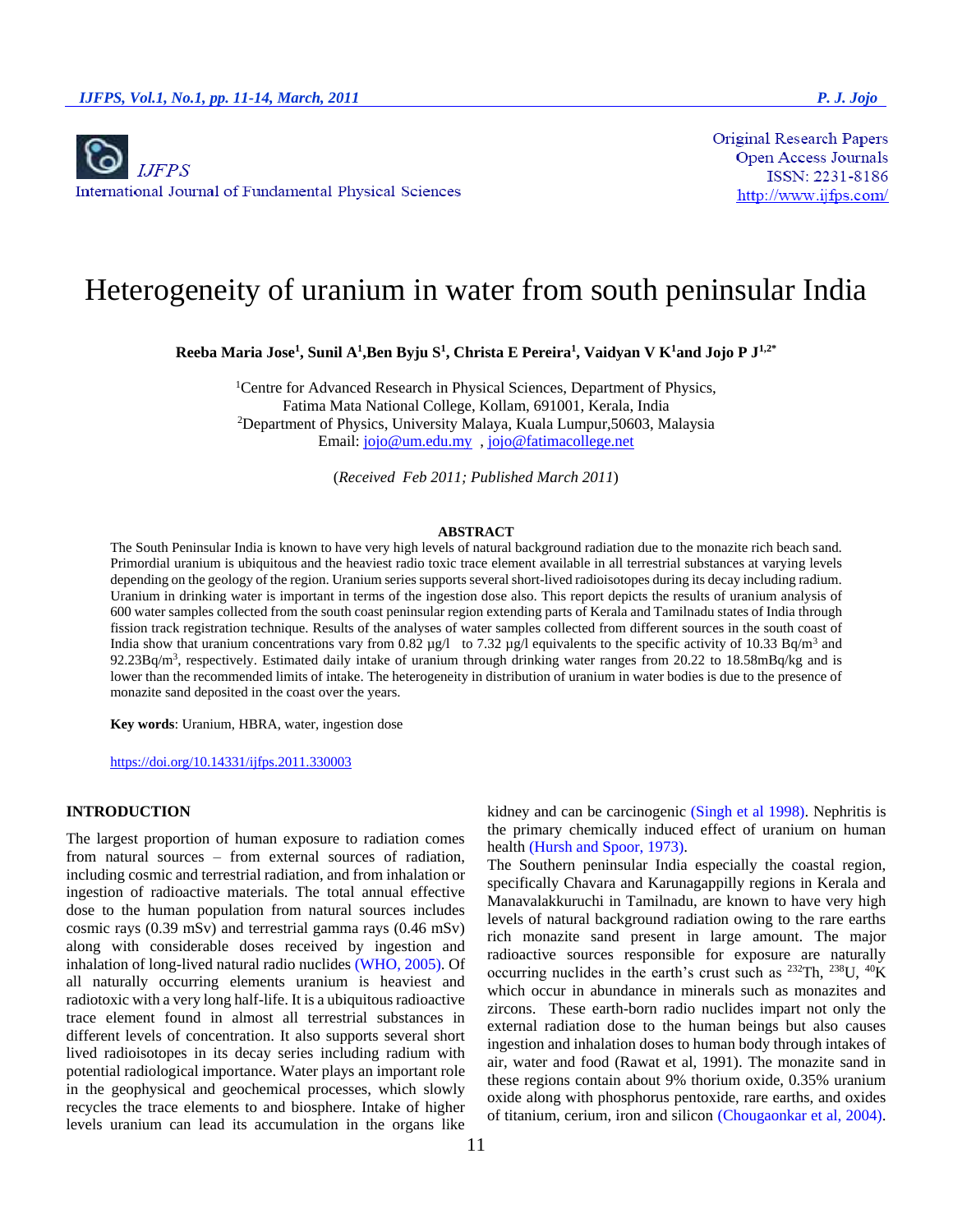**Original Research Papers Open Access Journals** ISSN: 2231-8186 http://www.ijfps.com/

# Heterogeneity of uranium in water from south peninsular India

**Reeba Maria Jose<sup>1</sup> , Sunil A<sup>1</sup> ,Ben Byju S<sup>1</sup> , Christa E Pereira<sup>1</sup> , Vaidyan V K<sup>1</sup>and Jojo P J1,2\***

<sup>1</sup>Centre for Advanced Research in Physical Sciences, Department of Physics, Fatima Mata National College, Kollam, 691001, Kerala, India <sup>2</sup>Department of Physics, University Malaya, Kuala Lumpur,50603, Malaysia Email: [jojo@um.edu.my](mailto:jojo@um.edu.my) [, jojo@fatimacollege.net](mailto:jojo@fatimacollege.net)

(*Received Feb 2011; Published March 2011*)

#### **ABSTRACT**

The South Peninsular India is known to have very high levels of natural background radiation due to the monazite rich beach sand. Primordial uranium is ubiquitous and the heaviest radio toxic trace element available in all terrestrial substances at varying levels depending on the geology of the region. Uranium series supports several short-lived radioisotopes during its decay including radium. Uranium in drinking water is important in terms of the ingestion dose also. This report depicts the results of uranium analysis of 600 water samples collected from the south coast peninsular region extending parts of Kerala and Tamilnadu states of India through fission track registration technique. Results of the analyses of water samples collected from different sources in the south coast of India show that uranium concentrations vary from 0.82  $\mu$ g/l to 7.32  $\mu$ g/l equivalents to the specific activity of 10.33 Bq/m<sup>3</sup> and  $92.23Bq/m<sup>3</sup>$ , respectively. Estimated daily intake of uranium through drinking water ranges from 20.22 to 18.58mBq/kg and is lower than the recommended limits of intake. The heterogeneity in distribution of uranium in water bodies is due to the presence of monazite sand deposited in the coast over the years.

**Key words**: Uranium, HBRA, water, ingestion dose

<https://doi.org/10.14331/ijfps.2011.330003>

## **INTRODUCTION**

The largest proportion of human exposure to radiation comes from natural sources – from external sources of radiation, including cosmic and terrestrial radiation, and from inhalation or ingestion of radioactive materials. The total annual effective dose to the human population from natural sources includes cosmic rays (0.39 mSv) and terrestrial gamma rays (0.46 mSv) along with considerable doses received by ingestion and inhalation of long-lived natural radio nuclides (WHO, 2005). Of all naturally occurring elements uranium is heaviest and radiotoxic with a very long half-life. It is a ubiquitous radioactive trace element found in almost all terrestrial substances in different levels of concentration. It also supports several short lived radioisotopes in its decay series including radium with potential radiological importance. Water plays an important role in the geophysical and geochemical processes, which slowly recycles the trace elements to and biosphere. Intake of higher levels uranium can lead its accumulation in the organs like kidney and can be carcinogenic (Singh et al 1998). Nephritis is the primary chemically induced effect of uranium on human health (Hursh and Spoor, 1973).

The Southern peninsular India especially the coastal region, specifically Chavara and Karunagappilly regions in Kerala and Manavalakkuruchi in Tamilnadu, are known to have very high levels of natural background radiation owing to the rare earths rich monazite sand present in large amount. The major radioactive sources responsible for exposure are naturally occurring nuclides in the earth's crust such as  $^{232}Th$ ,  $^{238}U$ ,  $^{40}K$ which occur in abundance in minerals such as monazites and zircons. These earth-born radio nuclides impart not only the external radiation dose to the human beings but also causes ingestion and inhalation doses to human body through intakes of air, water and food (Rawat et al, 1991). The monazite sand in these regions contain about 9% thorium oxide, 0.35% uranium oxide along with phosphorus pentoxide, rare earths, and oxides of titanium, cerium, iron and silicon (Chougaonkar et al, 2004).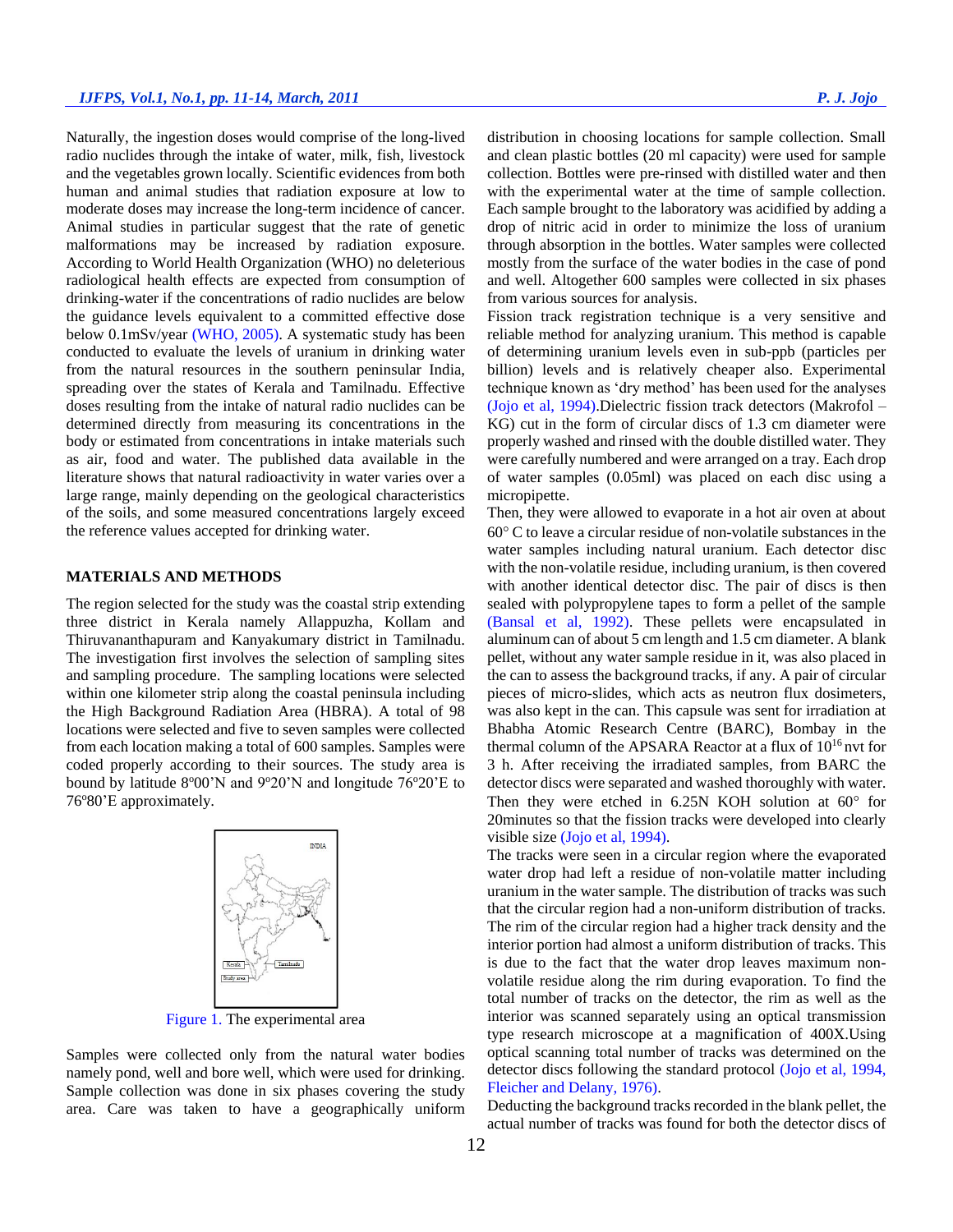Naturally, the ingestion doses would comprise of the long-lived radio nuclides through the intake of water, milk, fish, livestock and the vegetables grown locally. Scientific evidences from both human and animal studies that radiation exposure at low to moderate doses may increase the long-term incidence of cancer. Animal studies in particular suggest that the rate of genetic malformations may be increased by radiation exposure. According to World Health Organization (WHO) no deleterious radiological health effects are expected from consumption of drinking-water if the concentrations of radio nuclides are below the guidance levels equivalent to a committed effective dose below 0.1mSv/year (WHO, 2005). A systematic study has been conducted to evaluate the levels of uranium in drinking water from the natural resources in the southern peninsular India, spreading over the states of Kerala and Tamilnadu. Effective doses resulting from the intake of natural radio nuclides can be determined directly from measuring its concentrations in the body or estimated from concentrations in intake materials such as air, food and water. The published data available in the literature shows that natural radioactivity in water varies over a large range, mainly depending on the geological characteristics of the soils, and some measured concentrations largely exceed the reference values accepted for drinking water.

## **MATERIALS AND METHODS**

The region selected for the study was the coastal strip extending three district in Kerala namely Allappuzha, Kollam and Thiruvananthapuram and Kanyakumary district in Tamilnadu. The investigation first involves the selection of sampling sites and sampling procedure. The sampling locations were selected within one kilometer strip along the coastal peninsula including the High Background Radiation Area (HBRA). A total of 98 locations were selected and five to seven samples were collected from each location making a total of 600 samples. Samples were coded properly according to their sources. The study area is bound by latitude  $8^{\circ}00'$ N and  $9^{\circ}20'$ N and longitude  $76^{\circ}20'$ E to 76°80'E approximately.



Figure 1. The experimental area

Samples were collected only from the natural water bodies namely pond, well and bore well, which were used for drinking. Sample collection was done in six phases covering the study area. Care was taken to have a geographically uniform distribution in choosing locations for sample collection. Small and clean plastic bottles (20 ml capacity) were used for sample collection. Bottles were pre-rinsed with distilled water and then with the experimental water at the time of sample collection. Each sample brought to the laboratory was acidified by adding a drop of nitric acid in order to minimize the loss of uranium through absorption in the bottles. Water samples were collected mostly from the surface of the water bodies in the case of pond and well. Altogether 600 samples were collected in six phases from various sources for analysis.

Fission track registration technique is a very sensitive and reliable method for analyzing uranium. This method is capable of determining uranium levels even in sub-ppb (particles per billion) levels and is relatively cheaper also. Experimental technique known as 'dry method' has been used for the analyses (Jojo et al, 1994).Dielectric fission track detectors (Makrofol – KG) cut in the form of circular discs of 1.3 cm diameter were properly washed and rinsed with the double distilled water. They were carefully numbered and were arranged on a tray. Each drop of water samples (0.05ml) was placed on each disc using a micropipette.

Then, they were allowed to evaporate in a hot air oven at about  $60^{\circ}$  C to leave a circular residue of non-volatile substances in the water samples including natural uranium. Each detector disc with the non-volatile residue, including uranium, is then covered with another identical detector disc. The pair of discs is then sealed with polypropylene tapes to form a pellet of the sample (Bansal et al, 1992). These pellets were encapsulated in aluminum can of about 5 cm length and 1.5 cm diameter. A blank pellet, without any water sample residue in it, was also placed in the can to assess the background tracks, if any. A pair of circular pieces of micro-slides, which acts as neutron flux dosimeters, was also kept in the can. This capsule was sent for irradiation at Bhabha Atomic Research Centre (BARC), Bombay in the thermal column of the APSARA Reactor at a flux of  $10^{16}$  nvt for 3 h. After receiving the irradiated samples, from BARC the detector discs were separated and washed thoroughly with water. Then they were etched in  $6.25N$  KOH solution at  $60^{\circ}$  for 20minutes so that the fission tracks were developed into clearly visible size (Jojo et al, 1994).

The tracks were seen in a circular region where the evaporated water drop had left a residue of non-volatile matter including uranium in the water sample. The distribution of tracks was such that the circular region had a non-uniform distribution of tracks. The rim of the circular region had a higher track density and the interior portion had almost a uniform distribution of tracks. This is due to the fact that the water drop leaves maximum nonvolatile residue along the rim during evaporation. To find the total number of tracks on the detector, the rim as well as the interior was scanned separately using an optical transmission type research microscope at a magnification of 400X.Using optical scanning total number of tracks was determined on the detector discs following the standard protocol (Jojo et al, 1994, Fleicher and Delany, 1976).

Deducting the background tracks recorded in the blank pellet, the actual number of tracks was found for both the detector discs of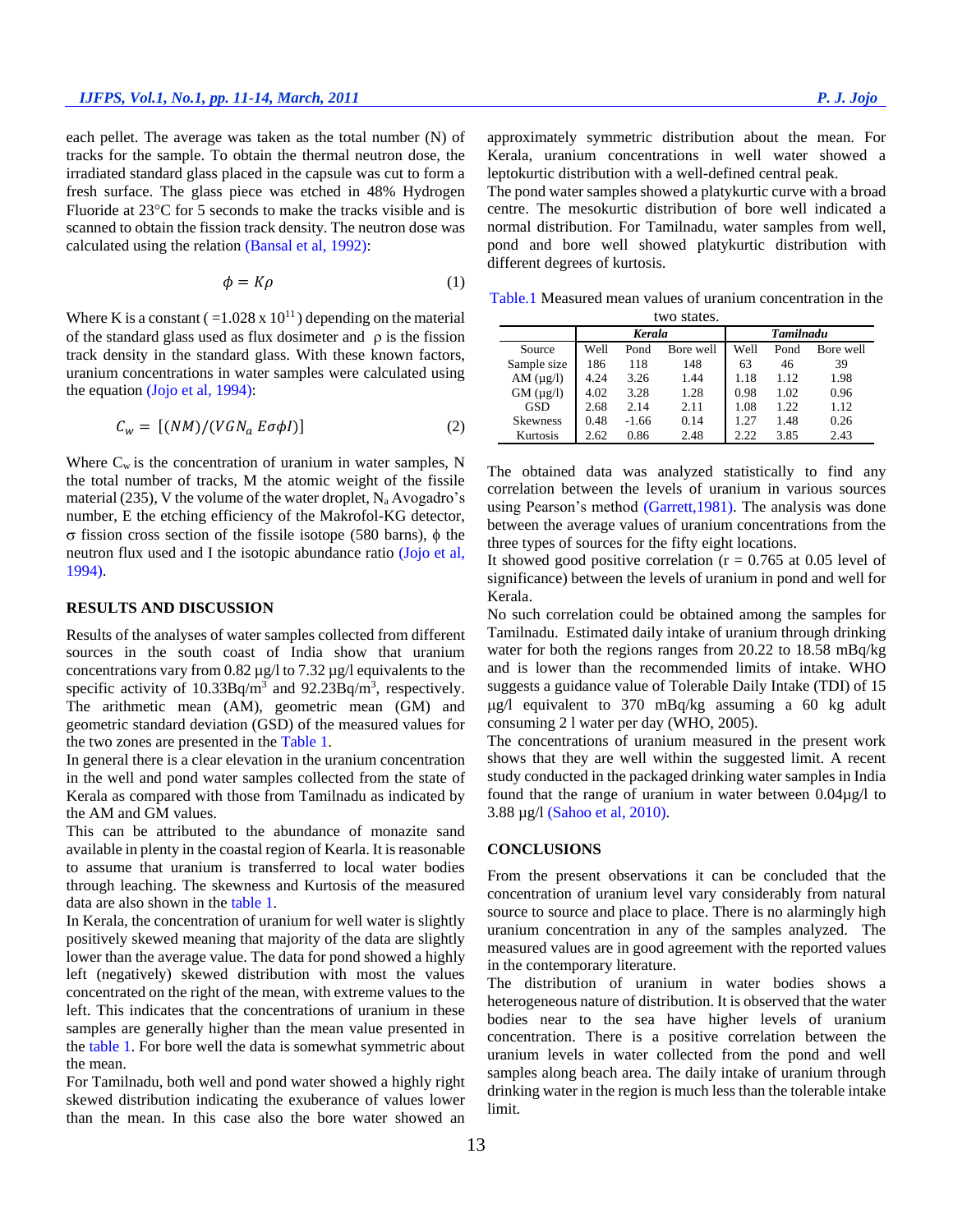each pellet. The average was taken as the total number (N) of tracks for the sample. To obtain the thermal neutron dose, the irradiated standard glass placed in the capsule was cut to form a fresh surface. The glass piece was etched in 48% Hydrogen Fluoride at  $23^{\circ}$ C for 5 seconds to make the tracks visible and is scanned to obtain the fission track density. The neutron dose was calculated using the relation (Bansal et al, 1992):

$$
\phi = K\rho \tag{1}
$$

Where K is a constant ( $=1.028 \times 10^{11}$ ) depending on the material of the standard glass used as flux dosimeter and  $\rho$  is the fission track density in the standard glass. With these known factors, uranium concentrations in water samples were calculated using the equation (Jojo et al, 1994):

$$
C_w = [(NM)/(VGN_a E\sigma\phi I)] \tag{2}
$$

Where  $C_w$  is the concentration of uranium in water samples, N the total number of tracks, M the atomic weight of the fissile material (235), V the volume of the water droplet,  $N_a$  Avogadro's number, E the etching efficiency of the Makrofol-KG detector,  $\sigma$  fission cross section of the fissile isotope (580 barns),  $\phi$  the neutron flux used and I the isotopic abundance ratio (Jojo et al, 1994).

#### **RESULTS AND DISCUSSION**

Results of the analyses of water samples collected from different sources in the south coast of India show that uranium concentrations vary from 0.82 µg/l to 7.32 µg/l equivalents to the specific activity of  $10.33Bq/m<sup>3</sup>$  and  $92.23Bq/m<sup>3</sup>$ , respectively. The arithmetic mean (AM), geometric mean (GM) and geometric standard deviation (GSD) of the measured values for the two zones are presented in the Table 1.

In general there is a clear elevation in the uranium concentration in the well and pond water samples collected from the state of Kerala as compared with those from Tamilnadu as indicated by the AM and GM values.

This can be attributed to the abundance of monazite sand available in plenty in the coastal region of Kearla. It is reasonable to assume that uranium is transferred to local water bodies through leaching. The skewness and Kurtosis of the measured data are also shown in the table 1.

In Kerala, the concentration of uranium for well water is slightly positively skewed meaning that majority of the data are slightly lower than the average value. The data for pond showed a highly left (negatively) skewed distribution with most the values concentrated on the right of the mean, with extreme values to the left. This indicates that the concentrations of uranium in these samples are generally higher than the mean value presented in the table 1. For bore well the data is somewhat symmetric about the mean.

For Tamilnadu, both well and pond water showed a highly right skewed distribution indicating the exuberance of values lower than the mean. In this case also the bore water showed an approximately symmetric distribution about the mean. For Kerala, uranium concentrations in well water showed a leptokurtic distribution with a well-defined central peak.

The pond water samples showed a platykurtic curve with a broad centre. The mesokurtic distribution of bore well indicated a normal distribution. For Tamilnadu, water samples from well, pond and bore well showed platykurtic distribution with different degrees of kurtosis.

Table.1 Measured mean values of uranium concentration in the

| two states.       |               |         |           |                  |      |           |
|-------------------|---------------|---------|-----------|------------------|------|-----------|
|                   | <b>Kerala</b> |         |           | <b>Tamilnadu</b> |      |           |
| Source            | Well          | Pond    | Bore well | Well             | Pond | Bore well |
| Sample size       | 186           | 118     | 148       | 63               | 46   | 39        |
| AM $(\mu g/l)$    | 4.24          | 3.26    | 1.44      | 1.18             | 1.12 | 1.98      |
| $GM$ ( $\mu$ g/l) | 4.02          | 3.28    | 1.28      | 0.98             | 1.02 | 0.96      |
| <b>GSD</b>        | 2.68          | 2.14    | 2.11      | 1.08             | 1.22 | 1.12      |
| <b>Skewness</b>   | 0.48          | $-1.66$ | 0.14      | 1.27             | 1.48 | 0.26      |
| <b>Kurtosis</b>   | 2.62          | 0.86    | 2.48      | 2.22.            | 3.85 | 2.43      |

The obtained data was analyzed statistically to find any correlation between the levels of uranium in various sources using Pearson's method (Garrett,1981). The analysis was done between the average values of uranium concentrations from the three types of sources for the fifty eight locations.

It showed good positive correlation ( $r = 0.765$  at 0.05 level of significance) between the levels of uranium in pond and well for Kerala.

No such correlation could be obtained among the samples for Tamilnadu. Estimated daily intake of uranium through drinking water for both the regions ranges from 20.22 to 18.58 mBq/kg and is lower than the recommended limits of intake. WHO suggests a guidance value of Tolerable Daily Intake (TDI) of 15  $\mu$ g/l equivalent to 370 mBq/kg assuming a 60 kg adult consuming 2 l water per day (WHO, 2005).

The concentrations of uranium measured in the present work shows that they are well within the suggested limit. A recent study conducted in the packaged drinking water samples in India found that the range of uranium in water between 0.04µg/l to 3.88 µg/l (Sahoo et al, 2010).

#### **CONCLUSIONS**

From the present observations it can be concluded that the concentration of uranium level vary considerably from natural source to source and place to place. There is no alarmingly high uranium concentration in any of the samples analyzed. The measured values are in good agreement with the reported values in the contemporary literature.

The distribution of uranium in water bodies shows a heterogeneous nature of distribution. It is observed that the water bodies near to the sea have higher levels of uranium concentration. There is a positive correlation between the uranium levels in water collected from the pond and well samples along beach area. The daily intake of uranium through drinking water in the region is much less than the tolerable intake limit.